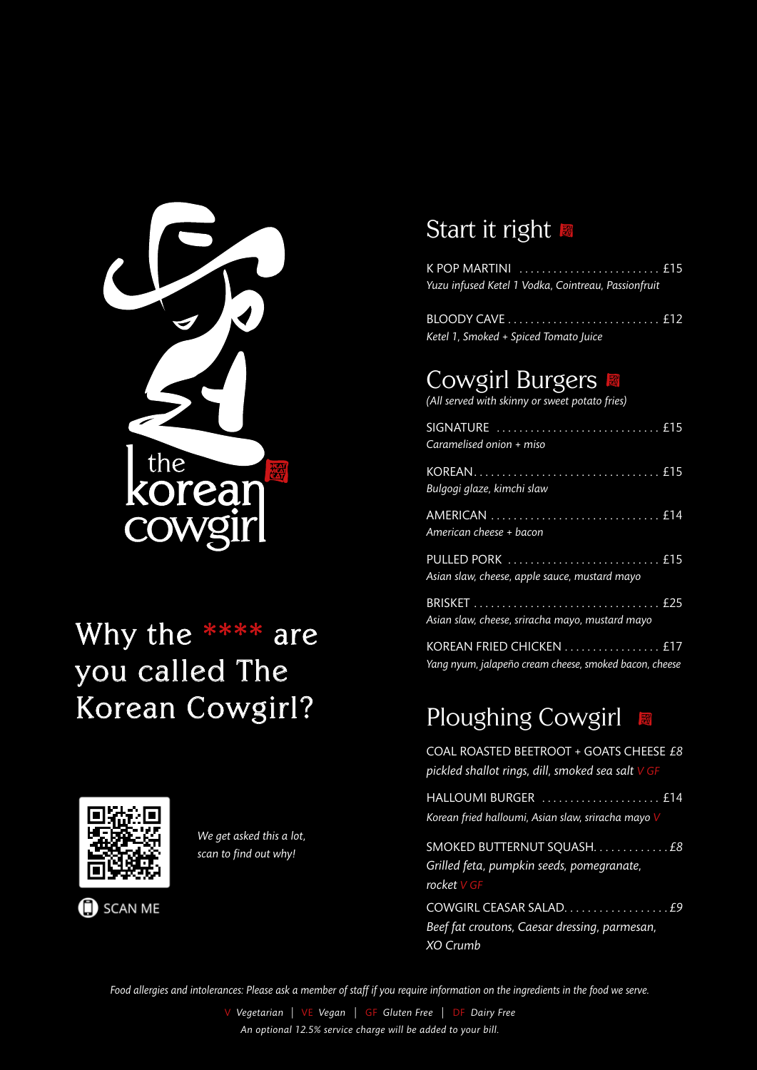

# Why the  $***$  are you called The Korean Cowgirl?



We get asked this a lot, scan to find out why!

**SCAN ME** 

### Start it right

| Yuzu infused Ketel 1 Vodka, Cointreau, Passionfruit |  |
|-----------------------------------------------------|--|
|                                                     |  |

Ketel 1, Smoked + Spiced Tomato Juice

# **Cowgirl Burgers**

(All served with skinny or sweet potato fries)

| Caramelised onion + miso                                                          |
|-----------------------------------------------------------------------------------|
| Bulgogi glaze, kimchi slaw                                                        |
| American cheese + bacon                                                           |
| Asian slaw, cheese, apple sauce, mustard mayo                                     |
| Asian slaw, cheese, sriracha mayo, mustard mayo                                   |
| KOREAN FRIED CHICKEN  £17<br>Vana nuum jalangão croam choose smaled bason, choose |

# **Ploughing Cowgirl**

COAL ROASTED BEETROOT + GOATS CHEESE £8 pickled shallot rings, dill, smoked sea salt V GF

HALLOUMI BURGER ...................... £14 Korean fried halloumi, Asian slaw, sriracha mayo V

Grilled feta, pumpkin seeds, pomegranate, rocket  $V$  GF

Beef fat croutons, Caesar dressing, parmesan, XO Crumb

Food allergies and intolerances: Please ask a member of staff if you require information on the ingredients in the food we serve.

V Vegetarian | VE Vegan | GF Gluten Free | DF Dairy Free An optional 12.5% service charge will be added to your bill.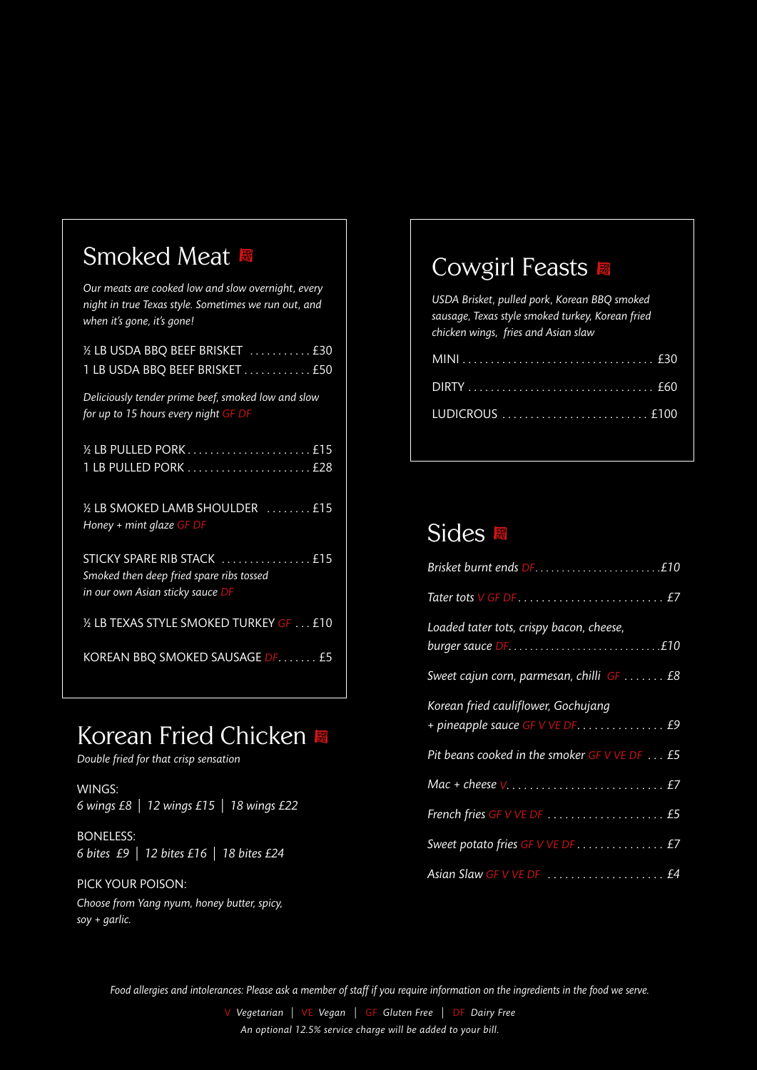### Smoked Meat

| Our meats are cooked low and slow overnight, every<br>night in true Texas style. Sometimes we run out, and<br>when it's gone, it's gone! |
|------------------------------------------------------------------------------------------------------------------------------------------|
| 1/2 LB USDA BBQ BEEF BRISKET  £30<br>1 LB USDA BBQ BEEF BRISKET £50                                                                      |
| Deliciously tender prime beef, smoked low and slow<br>for up to 15 hours every night GF DF                                               |
| 15 LB PULLED PORK £15<br>1 LB PULLED PORK  £28                                                                                           |
| 15 LB SMOKED LAMB SHOULDER  £15<br>Honey + mint glaze GF DF                                                                              |
| STICKY SPARE RIB STACK  £15<br>Smoked then deep fried spare ribs tossed<br>in our own Asian sticky sauce DF                              |
| 1/2 LB TEXAS STYLE SMOKED TURKEY GF £10                                                                                                  |
| KOREAN BBQ SMOKED SAUSAGE DF. £5                                                                                                         |

# Korean Fried Chicken

Double fried for that crisp sensation

WINGS: 6 wings £8 | 12 wings £15 | 18 wings £22

**BONELESS:** 6 bites £9 | 12 bites £16 | 18 bites £24

#### PICK YOUR POISON:

Choose from Yang nyum, honey butter, spicy,  $soy + g$ arlic.

#### **Cowgirl Feasts**

USDA Brisket, pulled pork, Korean BBQ smoked sausage, Texas style smoked turkey, Korean fried chicken wings, fries and Asian slaw

#### Sides

| Loaded tater tots, crispy bacon, cheese,     |
|----------------------------------------------|
| Sweet cajun corn, parmesan, chilli GF  £8    |
| Korean fried cauliflower, Gochujang          |
| Pit beans cooked in the smoker GF V VE DF £5 |
|                                              |
|                                              |
| Sweet potato fries GF V VE DF £7             |
|                                              |

Food allergies and intolerances: Please ask a member of staff if you require information on the ingredients in the food we serve.

V Vegetarian | VE Vegan | GF Gluten Free | DF Dairy Free An optional 12.5% service charge will be added to your bill.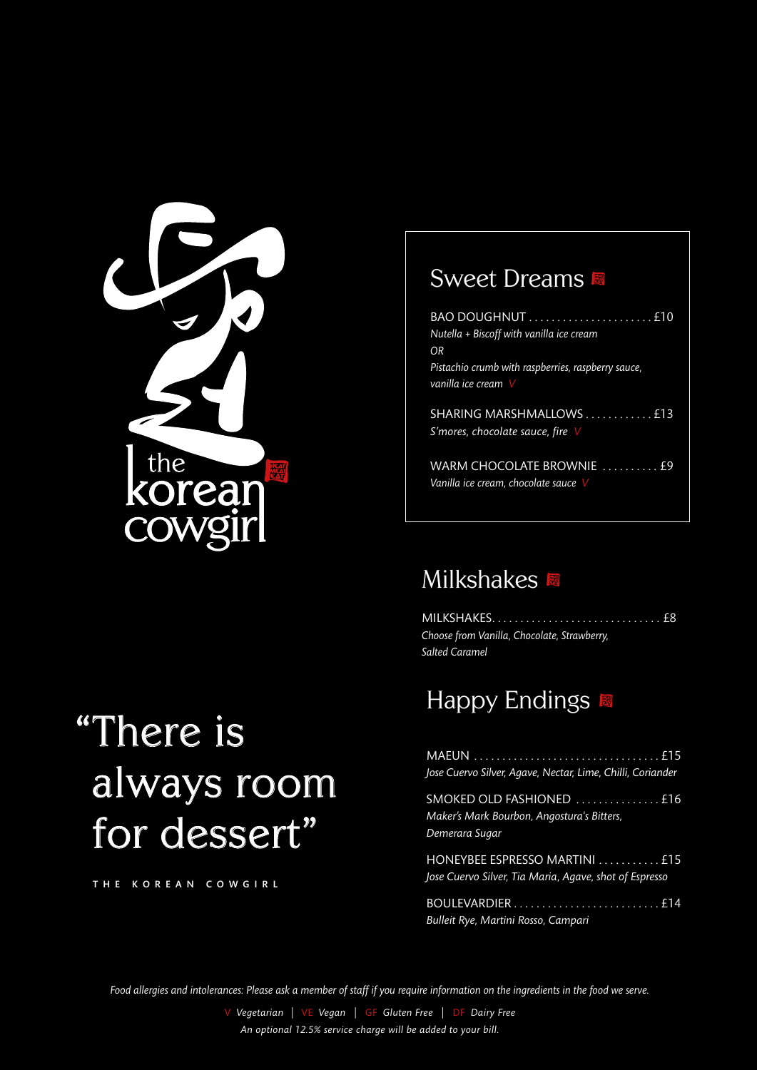

# "There is always room for dessert"

THE KOREAN COWGIRL

### **Sweet Dreams**

| Nutella + Biscoff with vanilla ice cream                          |
|-------------------------------------------------------------------|
| OR                                                                |
| Pistachio crumb with raspberries, raspberry sauce,                |
| vanilla ice cream $\vee$                                          |
| SHARING MARSHMALLOWS £13<br>S'mores, chocolate sauce, fire $\vee$ |
|                                                                   |

#### **Milkshakes**

Choose from Vanilla, Chocolate, Strawberry, Salted Caramel

### Happy Endings

| Jose Cuervo Silver, Agave, Nectar, Lime, Chilli, Coriander                               |
|------------------------------------------------------------------------------------------|
| SMOKED OLD FASHIONED £16<br>Maker's Mark Bourbon, Angostura's Bitters,<br>Demerara Sugar |
| HONEYBEE ESPRESSO MARTINI  £15<br>Jose Cuervo Silver, Tia Maria, Agave, shot of Espresso |
| Bulleit Rye, Martini Rosso, Campari                                                      |

Food allergies and intolerances: Please ask a member of staff if you require information on the ingredients in the food we serve.

V Vegetarian | VE Vegan | GF Gluten Free | DF Dairy Free An optional 12.5% service charge will be added to your bill.